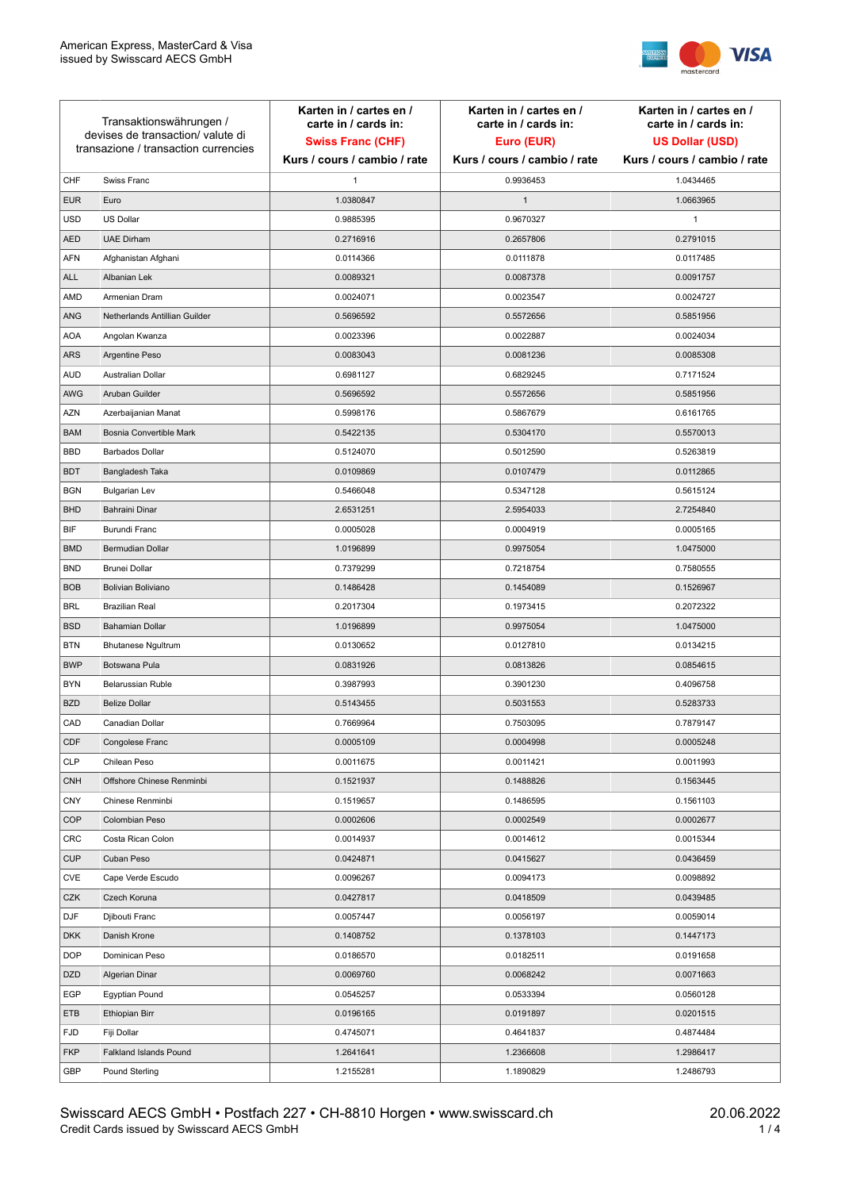

| Transaktionswährungen /<br>devises de transaction/valute di<br>transazione / transaction currencies |                               | Karten in / cartes en /<br>carte in / cards in:<br><b>Swiss Franc (CHF)</b> | Karten in / cartes en /<br>carte in / cards in:<br>Euro (EUR) | Karten in / cartes en /<br>carte in / cards in:<br><b>US Dollar (USD)</b> |
|-----------------------------------------------------------------------------------------------------|-------------------------------|-----------------------------------------------------------------------------|---------------------------------------------------------------|---------------------------------------------------------------------------|
|                                                                                                     |                               | Kurs / cours / cambio / rate                                                | Kurs / cours / cambio / rate                                  | Kurs / cours / cambio / rate                                              |
| CHF                                                                                                 | Swiss Franc                   | $\mathbf{1}$                                                                | 0.9936453                                                     | 1.0434465                                                                 |
| <b>EUR</b>                                                                                          | Euro                          | 1.0380847                                                                   | $\mathbf{1}$                                                  | 1.0663965                                                                 |
| <b>USD</b>                                                                                          | US Dollar                     | 0.9885395                                                                   | 0.9670327                                                     | 1                                                                         |
| <b>AED</b>                                                                                          | <b>UAE Dirham</b>             | 0.2716916                                                                   | 0.2657806                                                     | 0.2791015                                                                 |
| <b>AFN</b>                                                                                          | Afghanistan Afghani           | 0.0114366                                                                   | 0.0111878                                                     | 0.0117485                                                                 |
| <b>ALL</b>                                                                                          | Albanian Lek                  | 0.0089321                                                                   | 0.0087378                                                     | 0.0091757                                                                 |
| AMD                                                                                                 | Armenian Dram                 | 0.0024071                                                                   | 0.0023547                                                     | 0.0024727                                                                 |
| ANG                                                                                                 | Netherlands Antillian Guilder | 0.5696592                                                                   | 0.5572656                                                     | 0.5851956                                                                 |
| <b>AOA</b>                                                                                          | Angolan Kwanza                | 0.0023396                                                                   | 0.0022887                                                     | 0.0024034                                                                 |
| ARS                                                                                                 | Argentine Peso                | 0.0083043                                                                   | 0.0081236                                                     | 0.0085308                                                                 |
| <b>AUD</b>                                                                                          | Australian Dollar             | 0.6981127                                                                   | 0.6829245                                                     | 0.7171524                                                                 |
| AWG                                                                                                 | Aruban Guilder                | 0.5696592                                                                   | 0.5572656                                                     | 0.5851956                                                                 |
| <b>AZN</b>                                                                                          | Azerbaijanian Manat           | 0.5998176                                                                   | 0.5867679                                                     | 0.6161765                                                                 |
| <b>BAM</b>                                                                                          | Bosnia Convertible Mark       | 0.5422135                                                                   | 0.5304170                                                     | 0.5570013                                                                 |
| <b>BBD</b>                                                                                          | <b>Barbados Dollar</b>        | 0.5124070                                                                   | 0.5012590                                                     | 0.5263819                                                                 |
| <b>BDT</b>                                                                                          | Bangladesh Taka               | 0.0109869                                                                   | 0.0107479                                                     | 0.0112865                                                                 |
| <b>BGN</b>                                                                                          | <b>Bulgarian Lev</b>          | 0.5466048                                                                   | 0.5347128                                                     | 0.5615124                                                                 |
| <b>BHD</b>                                                                                          | Bahraini Dinar                | 2.6531251                                                                   | 2.5954033                                                     | 2.7254840                                                                 |
| BIF                                                                                                 | Burundi Franc                 | 0.0005028                                                                   | 0.0004919                                                     | 0.0005165                                                                 |
| <b>BMD</b>                                                                                          | Bermudian Dollar              | 1.0196899                                                                   | 0.9975054                                                     | 1.0475000                                                                 |
| <b>BND</b>                                                                                          | <b>Brunei Dollar</b>          | 0.7379299                                                                   | 0.7218754                                                     | 0.7580555                                                                 |
| <b>BOB</b>                                                                                          | Bolivian Boliviano            | 0.1486428                                                                   | 0.1454089                                                     | 0.1526967                                                                 |
| <b>BRL</b>                                                                                          | <b>Brazilian Real</b>         | 0.2017304                                                                   | 0.1973415                                                     | 0.2072322                                                                 |
| <b>BSD</b>                                                                                          | <b>Bahamian Dollar</b>        | 1.0196899                                                                   | 0.9975054                                                     | 1.0475000                                                                 |
| <b>BTN</b>                                                                                          | <b>Bhutanese Ngultrum</b>     | 0.0130652                                                                   | 0.0127810                                                     | 0.0134215                                                                 |
| <b>BWP</b>                                                                                          | Botswana Pula                 | 0.0831926                                                                   | 0.0813826                                                     | 0.0854615                                                                 |
| <b>BYN</b>                                                                                          | Belarussian Ruble             | 0.3987993                                                                   | 0.3901230                                                     | 0.4096758                                                                 |
| <b>BZD</b>                                                                                          | <b>Belize Dollar</b>          | 0.5143455                                                                   | 0.5031553                                                     | 0.5283733                                                                 |
| CAD                                                                                                 | Canadian Dollar               | 0.7669964                                                                   | 0.7503095                                                     | 0.7879147                                                                 |
| CDF                                                                                                 | Congolese Franc               | 0.0005109                                                                   | 0.0004998                                                     | 0.0005248                                                                 |
| <b>CLP</b>                                                                                          | Chilean Peso                  | 0.0011675                                                                   | 0.0011421                                                     | 0.0011993                                                                 |
| <b>CNH</b>                                                                                          | Offshore Chinese Renminbi     | 0.1521937                                                                   | 0.1488826                                                     | 0.1563445                                                                 |
| <b>CNY</b>                                                                                          | Chinese Renminbi              | 0.1519657                                                                   | 0.1486595                                                     | 0.1561103                                                                 |
| <b>COP</b>                                                                                          | Colombian Peso                | 0.0002606                                                                   | 0.0002549                                                     | 0.0002677                                                                 |
| CRC                                                                                                 | Costa Rican Colon             | 0.0014937                                                                   | 0.0014612                                                     | 0.0015344                                                                 |
| <b>CUP</b>                                                                                          | Cuban Peso                    | 0.0424871                                                                   | 0.0415627                                                     | 0.0436459                                                                 |
| CVE                                                                                                 | Cape Verde Escudo             | 0.0096267                                                                   | 0.0094173                                                     | 0.0098892                                                                 |
| CZK                                                                                                 | Czech Koruna                  | 0.0427817                                                                   | 0.0418509                                                     | 0.0439485                                                                 |
| <b>DJF</b>                                                                                          | Djibouti Franc                | 0.0057447                                                                   | 0.0056197                                                     | 0.0059014                                                                 |
| <b>DKK</b>                                                                                          | Danish Krone                  | 0.1408752                                                                   | 0.1378103                                                     | 0.1447173                                                                 |
| <b>DOP</b>                                                                                          | Dominican Peso                | 0.0186570                                                                   | 0.0182511                                                     | 0.0191658                                                                 |
| <b>DZD</b>                                                                                          | Algerian Dinar                | 0.0069760                                                                   | 0.0068242                                                     | 0.0071663                                                                 |
| EGP                                                                                                 | Egyptian Pound                | 0.0545257                                                                   | 0.0533394                                                     | 0.0560128                                                                 |
| ETB                                                                                                 | Ethiopian Birr                | 0.0196165                                                                   | 0.0191897                                                     | 0.0201515                                                                 |
| <b>FJD</b>                                                                                          | Fiji Dollar                   | 0.4745071                                                                   | 0.4641837                                                     | 0.4874484                                                                 |
| <b>FKP</b>                                                                                          | Falkland Islands Pound        | 1.2641641                                                                   | 1.2366608                                                     | 1.2986417                                                                 |
| GBP                                                                                                 | Pound Sterling                | 1.2155281                                                                   | 1.1890829                                                     | 1.2486793                                                                 |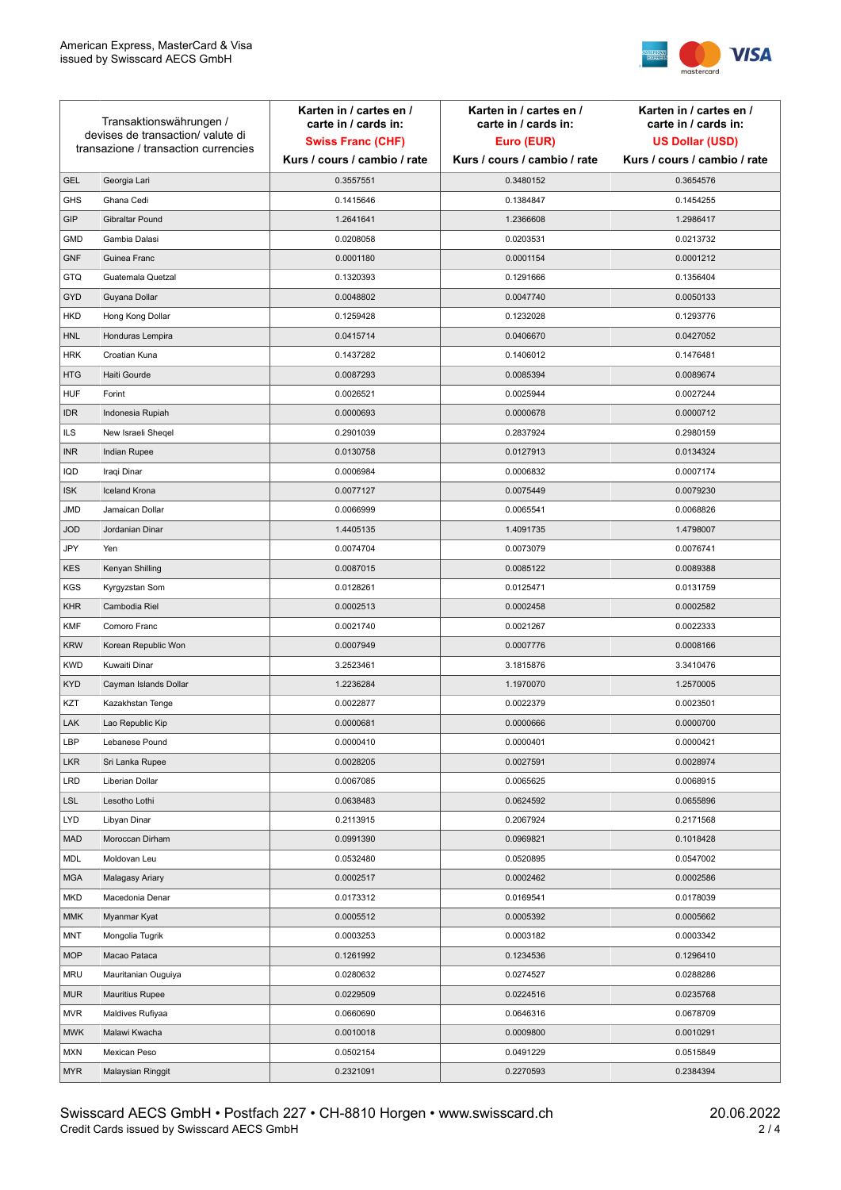

| Transaktionswährungen /<br>devises de transaction/valute di<br>transazione / transaction currencies |                        | Karten in / cartes en /<br>carte in / cards in: | Karten in / cartes en /<br>carte in / cards in: | Karten in / cartes en /<br>carte in / cards in: |
|-----------------------------------------------------------------------------------------------------|------------------------|-------------------------------------------------|-------------------------------------------------|-------------------------------------------------|
|                                                                                                     |                        | <b>Swiss Franc (CHF)</b>                        | Euro (EUR)                                      | <b>US Dollar (USD)</b>                          |
|                                                                                                     |                        | Kurs / cours / cambio / rate                    | Kurs / cours / cambio / rate                    | Kurs / cours / cambio / rate                    |
| <b>GEL</b>                                                                                          | Georgia Lari           | 0.3557551                                       | 0.3480152                                       | 0.3654576                                       |
| <b>GHS</b>                                                                                          | Ghana Cedi             | 0.1415646                                       | 0.1384847                                       | 0.1454255                                       |
| GIP                                                                                                 | Gibraltar Pound        | 1.2641641                                       | 1.2366608                                       | 1.2986417                                       |
| <b>GMD</b>                                                                                          | Gambia Dalasi          | 0.0208058                                       | 0.0203531                                       | 0.0213732                                       |
| <b>GNF</b>                                                                                          | Guinea Franc           | 0.0001180                                       | 0.0001154                                       | 0.0001212                                       |
| <b>GTQ</b>                                                                                          | Guatemala Quetzal      | 0.1320393                                       | 0.1291666                                       | 0.1356404                                       |
| GYD                                                                                                 | Guyana Dollar          | 0.0048802                                       | 0.0047740                                       | 0.0050133                                       |
| HKD                                                                                                 | Hong Kong Dollar       | 0.1259428                                       | 0.1232028                                       | 0.1293776                                       |
| <b>HNL</b>                                                                                          | Honduras Lempira       | 0.0415714                                       | 0.0406670                                       | 0.0427052                                       |
| <b>HRK</b>                                                                                          | Croatian Kuna          | 0.1437282                                       | 0.1406012                                       | 0.1476481                                       |
| <b>HTG</b>                                                                                          | Haiti Gourde           | 0.0087293                                       | 0.0085394                                       | 0.0089674                                       |
| <b>HUF</b>                                                                                          | Forint                 | 0.0026521                                       | 0.0025944                                       | 0.0027244                                       |
| <b>IDR</b>                                                                                          | Indonesia Rupiah       | 0.0000693                                       | 0.0000678                                       | 0.0000712                                       |
| <b>ILS</b>                                                                                          | New Israeli Sheqel     | 0.2901039                                       | 0.2837924                                       | 0.2980159                                       |
| <b>INR</b>                                                                                          | Indian Rupee           | 0.0130758                                       | 0.0127913                                       | 0.0134324                                       |
| IQD                                                                                                 | Iraqi Dinar            | 0.0006984                                       | 0.0006832                                       | 0.0007174                                       |
| <b>ISK</b>                                                                                          | <b>Iceland Krona</b>   | 0.0077127                                       | 0.0075449                                       | 0.0079230                                       |
| <b>JMD</b>                                                                                          | Jamaican Dollar        | 0.0066999                                       | 0.0065541                                       | 0.0068826                                       |
| <b>JOD</b>                                                                                          | Jordanian Dinar        | 1.4405135                                       | 1.4091735                                       | 1.4798007                                       |
| JPY                                                                                                 | Yen                    | 0.0074704                                       | 0.0073079                                       | 0.0076741                                       |
| <b>KES</b>                                                                                          | Kenyan Shilling        | 0.0087015                                       | 0.0085122                                       | 0.0089388                                       |
| <b>KGS</b>                                                                                          | Kyrgyzstan Som         | 0.0128261                                       | 0.0125471                                       | 0.0131759                                       |
| <b>KHR</b>                                                                                          | Cambodia Riel          | 0.0002513                                       | 0.0002458                                       | 0.0002582                                       |
| <b>KMF</b>                                                                                          | Comoro Franc           | 0.0021740                                       | 0.0021267                                       | 0.0022333                                       |
| <b>KRW</b>                                                                                          | Korean Republic Won    | 0.0007949                                       | 0.0007776                                       | 0.0008166                                       |
| <b>KWD</b>                                                                                          | Kuwaiti Dinar          | 3.2523461                                       | 3.1815876                                       | 3.3410476                                       |
| <b>KYD</b>                                                                                          | Cayman Islands Dollar  | 1.2236284                                       | 1.1970070                                       | 1.2570005                                       |
| KZT                                                                                                 | Kazakhstan Tenge       | 0.0022877                                       | 0.0022379                                       | 0.0023501                                       |
| LAK                                                                                                 | Lao Republic Kip       | 0.0000681                                       | 0.0000666                                       | 0.0000700                                       |
| LBP                                                                                                 | Lebanese Pound         | 0.0000410                                       | 0.0000401                                       | 0.0000421                                       |
| <b>LKR</b>                                                                                          | Sri Lanka Rupee        | 0.0028205                                       | 0.0027591                                       | 0.0028974                                       |
| LRD                                                                                                 | Liberian Dollar        | 0.0067085                                       | 0.0065625                                       | 0.0068915                                       |
| <b>LSL</b>                                                                                          | Lesotho Lothi          | 0.0638483                                       | 0.0624592                                       | 0.0655896                                       |
| LYD                                                                                                 | Libyan Dinar           | 0.2113915                                       | 0.2067924                                       | 0.2171568                                       |
| <b>MAD</b>                                                                                          | Moroccan Dirham        | 0.0991390                                       | 0.0969821                                       | 0.1018428                                       |
| MDL                                                                                                 | Moldovan Leu           | 0.0532480                                       | 0.0520895                                       | 0.0547002                                       |
| <b>MGA</b>                                                                                          | Malagasy Ariary        | 0.0002517                                       | 0.0002462                                       | 0.0002586                                       |
| MKD                                                                                                 | Macedonia Denar        | 0.0173312                                       | 0.0169541                                       | 0.0178039                                       |
| <b>MMK</b>                                                                                          | Myanmar Kyat           | 0.0005512                                       | 0.0005392                                       | 0.0005662                                       |
| <b>MNT</b>                                                                                          | Mongolia Tugrik        | 0.0003253                                       | 0.0003182                                       | 0.0003342                                       |
| <b>MOP</b>                                                                                          | Macao Pataca           | 0.1261992                                       | 0.1234536                                       | 0.1296410                                       |
| <b>MRU</b>                                                                                          | Mauritanian Ouguiya    | 0.0280632                                       | 0.0274527                                       | 0.0288286                                       |
| <b>MUR</b>                                                                                          | <b>Mauritius Rupee</b> | 0.0229509                                       | 0.0224516                                       | 0.0235768                                       |
| <b>MVR</b>                                                                                          | Maldives Rufiyaa       | 0.0660690                                       | 0.0646316                                       | 0.0678709                                       |
| <b>MWK</b>                                                                                          | Malawi Kwacha          | 0.0010018                                       | 0.0009800                                       | 0.0010291                                       |
| MXN                                                                                                 | Mexican Peso           | 0.0502154                                       | 0.0491229                                       | 0.0515849                                       |
| <b>MYR</b>                                                                                          | Malaysian Ringgit      | 0.2321091                                       | 0.2270593                                       | 0.2384394                                       |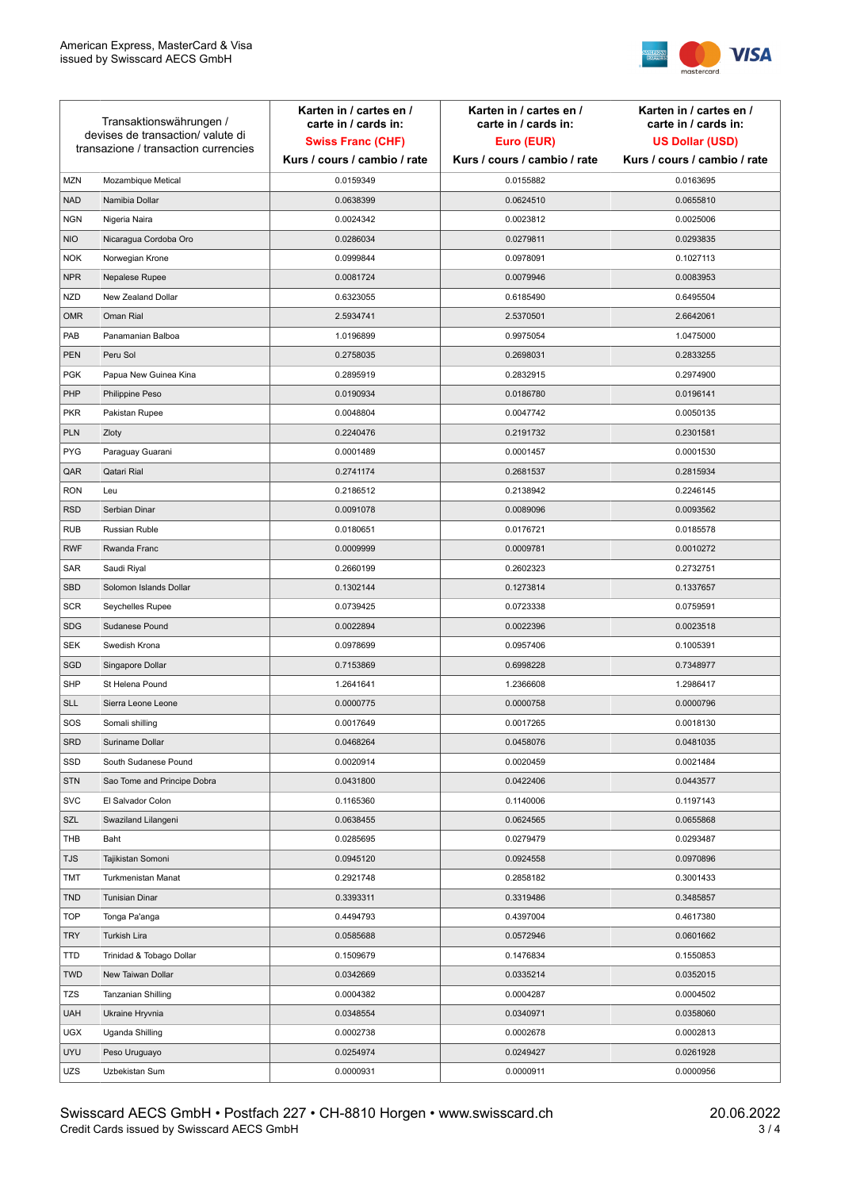

| Transaktionswährungen /<br>devises de transaction/valute di<br>transazione / transaction currencies |                             | Karten in / cartes en /<br>carte in / cards in:<br><b>Swiss Franc (CHF)</b><br>Kurs / cours / cambio / rate | Karten in / cartes en /<br>carte in / cards in:<br>Euro (EUR)<br>Kurs / cours / cambio / rate | Karten in / cartes en /<br>carte in / cards in:<br><b>US Dollar (USD)</b><br>Kurs / cours / cambio / rate |
|-----------------------------------------------------------------------------------------------------|-----------------------------|-------------------------------------------------------------------------------------------------------------|-----------------------------------------------------------------------------------------------|-----------------------------------------------------------------------------------------------------------|
|                                                                                                     |                             |                                                                                                             |                                                                                               |                                                                                                           |
| <b>MZN</b>                                                                                          | Mozambique Metical          | 0.0159349                                                                                                   | 0.0155882                                                                                     | 0.0163695                                                                                                 |
| <b>NAD</b>                                                                                          | Namibia Dollar              | 0.0638399                                                                                                   | 0.0624510                                                                                     | 0.0655810                                                                                                 |
| <b>NGN</b>                                                                                          | Nigeria Naira               | 0.0024342                                                                                                   | 0.0023812                                                                                     | 0.0025006                                                                                                 |
| <b>NIO</b>                                                                                          | Nicaragua Cordoba Oro       | 0.0286034                                                                                                   | 0.0279811                                                                                     | 0.0293835                                                                                                 |
| <b>NOK</b>                                                                                          | Norwegian Krone             | 0.0999844                                                                                                   | 0.0978091                                                                                     | 0.1027113                                                                                                 |
| <b>NPR</b>                                                                                          | Nepalese Rupee              | 0.0081724                                                                                                   | 0.0079946                                                                                     | 0.0083953                                                                                                 |
| <b>NZD</b>                                                                                          | New Zealand Dollar          | 0.6323055                                                                                                   | 0.6185490                                                                                     | 0.6495504                                                                                                 |
| <b>OMR</b>                                                                                          | Oman Rial                   | 2.5934741                                                                                                   | 2.5370501                                                                                     | 2.6642061                                                                                                 |
| PAB                                                                                                 | Panamanian Balboa           | 1.0196899                                                                                                   | 0.9975054                                                                                     | 1.0475000                                                                                                 |
| PEN                                                                                                 | Peru Sol                    | 0.2758035                                                                                                   | 0.2698031                                                                                     | 0.2833255                                                                                                 |
| <b>PGK</b>                                                                                          | Papua New Guinea Kina       | 0.2895919                                                                                                   | 0.2832915                                                                                     | 0.2974900                                                                                                 |
| PHP                                                                                                 | Philippine Peso             | 0.0190934                                                                                                   | 0.0186780                                                                                     | 0.0196141                                                                                                 |
| <b>PKR</b>                                                                                          | Pakistan Rupee              | 0.0048804                                                                                                   | 0.0047742                                                                                     | 0.0050135                                                                                                 |
| <b>PLN</b>                                                                                          | Zloty                       | 0.2240476                                                                                                   | 0.2191732                                                                                     | 0.2301581                                                                                                 |
| <b>PYG</b>                                                                                          | Paraguay Guarani            | 0.0001489                                                                                                   | 0.0001457                                                                                     | 0.0001530                                                                                                 |
| QAR                                                                                                 | Qatari Rial                 | 0.2741174                                                                                                   | 0.2681537                                                                                     | 0.2815934                                                                                                 |
| <b>RON</b>                                                                                          | Leu                         | 0.2186512                                                                                                   | 0.2138942                                                                                     | 0.2246145                                                                                                 |
| <b>RSD</b>                                                                                          | Serbian Dinar               | 0.0091078                                                                                                   | 0.0089096                                                                                     | 0.0093562                                                                                                 |
| <b>RUB</b>                                                                                          | <b>Russian Ruble</b>        | 0.0180651                                                                                                   | 0.0176721                                                                                     | 0.0185578                                                                                                 |
| <b>RWF</b>                                                                                          | Rwanda Franc                | 0.0009999                                                                                                   | 0.0009781                                                                                     | 0.0010272                                                                                                 |
| SAR                                                                                                 | Saudi Riyal                 | 0.2660199                                                                                                   | 0.2602323                                                                                     | 0.2732751                                                                                                 |
| <b>SBD</b>                                                                                          | Solomon Islands Dollar      | 0.1302144                                                                                                   | 0.1273814                                                                                     | 0.1337657                                                                                                 |
| <b>SCR</b>                                                                                          | Seychelles Rupee            | 0.0739425                                                                                                   | 0.0723338                                                                                     | 0.0759591                                                                                                 |
| <b>SDG</b>                                                                                          | Sudanese Pound              | 0.0022894                                                                                                   | 0.0022396                                                                                     | 0.0023518                                                                                                 |
| SEK                                                                                                 | Swedish Krona               | 0.0978699                                                                                                   | 0.0957406                                                                                     | 0.1005391                                                                                                 |
| SGD                                                                                                 | Singapore Dollar            | 0.7153869                                                                                                   | 0.6998228                                                                                     | 0.7348977                                                                                                 |
| <b>SHP</b>                                                                                          | St Helena Pound             | 1.2641641                                                                                                   | 1.2366608                                                                                     | 1.2986417                                                                                                 |
| <b>SLL</b>                                                                                          | Sierra Leone Leone          | 0.0000775                                                                                                   | 0.0000758                                                                                     | 0.0000796                                                                                                 |
| SOS                                                                                                 | Somali shilling             | 0.0017649                                                                                                   | 0.0017265                                                                                     | 0.0018130                                                                                                 |
| <b>SRD</b>                                                                                          | Suriname Dollar             | 0.0468264                                                                                                   | 0.0458076                                                                                     | 0.0481035                                                                                                 |
| SSD                                                                                                 | South Sudanese Pound        | 0.0020914                                                                                                   | 0.0020459                                                                                     | 0.0021484                                                                                                 |
| <b>STN</b>                                                                                          | Sao Tome and Principe Dobra | 0.0431800                                                                                                   | 0.0422406                                                                                     | 0.0443577                                                                                                 |
| <b>SVC</b>                                                                                          | El Salvador Colon           | 0.1165360                                                                                                   | 0.1140006                                                                                     | 0.1197143                                                                                                 |
| SZL                                                                                                 | Swaziland Lilangeni         | 0.0638455                                                                                                   | 0.0624565                                                                                     | 0.0655868                                                                                                 |
| THB                                                                                                 | Baht                        | 0.0285695                                                                                                   | 0.0279479                                                                                     | 0.0293487                                                                                                 |
| <b>TJS</b>                                                                                          | Tajikistan Somoni           | 0.0945120                                                                                                   | 0.0924558                                                                                     | 0.0970896                                                                                                 |
| TMT                                                                                                 | Turkmenistan Manat          | 0.2921748                                                                                                   | 0.2858182                                                                                     | 0.3001433                                                                                                 |
| <b>TND</b>                                                                                          | <b>Tunisian Dinar</b>       | 0.3393311                                                                                                   | 0.3319486                                                                                     | 0.3485857                                                                                                 |
| <b>TOP</b>                                                                                          | Tonga Pa'anga               | 0.4494793                                                                                                   | 0.4397004                                                                                     | 0.4617380                                                                                                 |
| <b>TRY</b>                                                                                          | Turkish Lira                | 0.0585688                                                                                                   | 0.0572946                                                                                     | 0.0601662                                                                                                 |
| TTD                                                                                                 | Trinidad & Tobago Dollar    | 0.1509679                                                                                                   | 0.1476834                                                                                     | 0.1550853                                                                                                 |
| <b>TWD</b>                                                                                          | New Taiwan Dollar           | 0.0342669                                                                                                   | 0.0335214                                                                                     | 0.0352015                                                                                                 |
| TZS                                                                                                 | Tanzanian Shilling          | 0.0004382                                                                                                   | 0.0004287                                                                                     | 0.0004502                                                                                                 |
| <b>UAH</b>                                                                                          | Ukraine Hryvnia             | 0.0348554                                                                                                   | 0.0340971                                                                                     | 0.0358060                                                                                                 |
| <b>UGX</b>                                                                                          | Uganda Shilling             | 0.0002738                                                                                                   | 0.0002678                                                                                     | 0.0002813                                                                                                 |
| <b>UYU</b>                                                                                          | Peso Uruguayo               | 0.0254974                                                                                                   | 0.0249427                                                                                     | 0.0261928                                                                                                 |
| UZS                                                                                                 | Uzbekistan Sum              | 0.0000931                                                                                                   | 0.0000911                                                                                     | 0.0000956                                                                                                 |